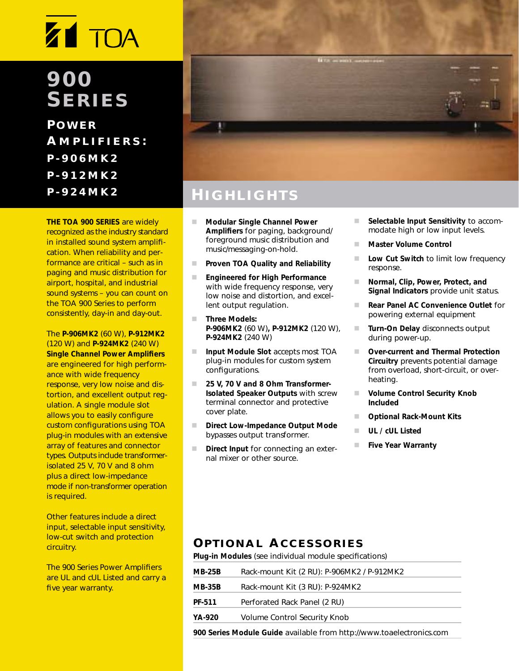## **900 SERIES**

**P OWER A MPLIFIERS : P-906MK2 P-912MK2 P-924MK2**

**THE TOA 900 SERIES** are widely recognized as the industry standard in installed sound system amplification. When reliability and performance are critical – such as in paging and music distribution for airport, hospital, and industrial sound systems – you can count on the TOA 900 Series to perform consistently, day-in and day-out.

The **P-906MK2** (60 W), **P-912MK2** (120 W) and **P-924MK2** (240 W) **Single Channel Power Amplifiers** are engineered for high performance with wide frequency response, very low noise and distortion, and excellent output regulation. A single module slot allows you to easily configure custom configurations using TOA plug-in modules with an extensive array of features and connector types. Outputs include transformerisolated 25 V, 70 V and 8 ohm plus a direct low-impedance mode if non-transformer operation is required.

Other features include a direct input, selectable input sensitivity, low-cut switch and protection circuitry.

The 900 Series Power Amplifiers are UL and cUL Listed and carry a five year warranty.



### **H IGHLIGHTS**

- - **Modular Single Channel Power Amplifiers** for paging, background/ foreground music distribution and music/messaging-on-hold.
- -**Proven TOA Quality and Reliability**
- - **Engineered for High Performance**  with wide frequency response, very low noise and distortion, and excellent output regulation.
- - **Three Models: P-906MK2** (60 W)**, P-912MK2** (120 W), **P-924MK2** (240 W)
- - **Input Module Slot** accepts most TOA plug-in modules for custom system configurations.
- - **25 V, 70 V and 8 Ohm Transformer-Isolated Speaker Outputs** with screw terminal connector and protective cover plate.
- - **Direct Low-Impedance Output Mode**  bypasses output transformer.
- - **Direct Input** for connecting an external mixer or other source.
- - **Selectable Input Sensitivity** to accommodate high or low input levels.
- -**Master Volume Control**
- - **Low Cut Switch** to limit low frequency response.
- - **Normal, Clip, Power, Protect, and Signal Indicators** provide unit status.
- - **Rear Panel AC Convenience Outlet** for powering external equipment
- - **Turn-On Delay** disconnects output during power-up.
- - **Over-current and Thermal Protection Circuitry** prevents potential damage from overload, short-circuit, or overheating.
- **Volume Control Security Knob Included**
- -**Optional Rack-Mount Kits**
- -**UL / cUL Listed**

-

-**Five Year Warranty**

### **OPTIONAL ACCESSORIES**

| Plug-in Modules (see individual module specifications) |                                                                      |  |  |  |
|--------------------------------------------------------|----------------------------------------------------------------------|--|--|--|
| <b>MB-25B</b>                                          | Rack-mount Kit (2 RU): P-906MK2 / P-912MK2                           |  |  |  |
| <b>MB-35B</b>                                          | Rack-mount Kit (3 RU): P-924MK2                                      |  |  |  |
| PF-511                                                 | Perforated Rack Panel (2 RU)                                         |  |  |  |
| YA-920                                                 | Volume Control Security Knob                                         |  |  |  |
|                                                        | 900 Series Module Guide available from http://www.toaelectronics.com |  |  |  |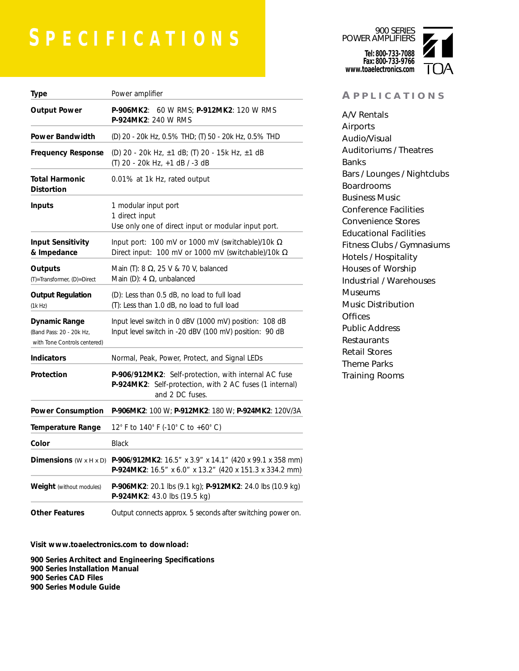# **S PECIFICATIONS**

| <b>Type</b>                                                               | Power amplifier                                                                                                                                   |  |  |  |  |  |  |
|---------------------------------------------------------------------------|---------------------------------------------------------------------------------------------------------------------------------------------------|--|--|--|--|--|--|
| <b>Output Power</b>                                                       | <b>P-906MK2:</b> 60 W RMS; <b>P-912MK2:</b> 120 W RMS<br><b>P-924MK2: 240 W RMS</b>                                                               |  |  |  |  |  |  |
| Power Bandwidth                                                           | (D) 20 - 20k Hz, 0.5% THD; (T) 50 - 20k Hz, 0.5% THD                                                                                              |  |  |  |  |  |  |
| Frequency Response                                                        | (D) 20 - 20k Hz, ±1 dB; (T) 20 - 15k Hz, ±1 dB<br>(T) 20 - 20k Hz, +1 dB / -3 dB                                                                  |  |  |  |  |  |  |
| Total Harmonic<br><b>Distortion</b>                                       | 0.01% at 1k Hz, rated output                                                                                                                      |  |  |  |  |  |  |
| Inputs                                                                    | 1 modular input port<br>1 direct input<br>Use only one of direct input or modular input port.                                                     |  |  |  |  |  |  |
| <b>Input Sensitivity</b><br>& Impedance                                   | Input port: 100 mV or 1000 mV (switchable)/10k $\Omega$<br>Direct input: 100 mV or 1000 mV (switchable)/10k $\Omega$                              |  |  |  |  |  |  |
| Outputs<br>(T)=Transformer, (D)=Direct                                    | Main (T): $8 \Omega$ , $25 V & 70 V$ , balanced<br>Main (D): 4 $\Omega$ , unbalanced                                                              |  |  |  |  |  |  |
| <b>Output Regulation</b><br>(1k Hz)                                       | (D): Less than 0.5 dB, no load to full load<br>(T): Less than 1.0 dB, no load to full load                                                        |  |  |  |  |  |  |
| Dynamic Range<br>(Band Pass: 20 - 20k Hz,<br>with Tone Controls centered) | Input level switch in 0 dBV (1000 mV) position: 108 dB<br>Input level switch in -20 dBV (100 mV) position: 90 dB                                  |  |  |  |  |  |  |
| <b>Indicators</b>                                                         | Normal, Peak, Power, Protect, and Signal LEDs                                                                                                     |  |  |  |  |  |  |
| Protection                                                                | P-906/912MK2: Self-protection, with internal AC fuse<br>P-924MK2: Self-protection, with 2 AC fuses (1 internal)<br>and 2 DC fuses.                |  |  |  |  |  |  |
| <b>Power Consumption</b>                                                  | P-906MK2: 100 W; P-912MK2: 180 W; P-924MK2: 120V/3A                                                                                               |  |  |  |  |  |  |
| <b>Temperature Range</b>                                                  | 12° F to 140° F (-10° C to +60° C)                                                                                                                |  |  |  |  |  |  |
| Color                                                                     | <b>Black</b>                                                                                                                                      |  |  |  |  |  |  |
|                                                                           | <b>Dimensions</b> (W x H x D) P-906/912MK2: 16.5" x 3.9" x 14.1" (420 x 99.1 x 358 mm)<br>P-924MK2: 16.5" x 6.0" x 13.2" (420 x 151.3 x 334.2 mm) |  |  |  |  |  |  |
| <b>Weight</b> (without modules)                                           | P-906MK2: 20.1 lbs (9.1 kg); P-912MK2: 24.0 lbs (10.9 kg)<br>P-924MK2: 43.0 lbs (19.5 kg)                                                         |  |  |  |  |  |  |
| <b>Other Features</b>                                                     | Output connects approx. 5 seconds after switching power on.                                                                                       |  |  |  |  |  |  |

#### **Visit www.toaelectronics.com to download:**

**900 Series Architect and Engineering Specifications 900 Series Installation Manual 900 Series CAD Files 900 Series Module Guide**

900 SERIES POWER AMPLIFIERS **Tel: 800-733-7088 Fax: 800-733-9766 www.toaelectronics.com**



#### **A PPLICATIONS**

A/V Rentals Airports Audio/Visual Auditoriums / Theatres Banks Bars / Lounges / Nightclubs Boardrooms Business Music Conference Facilities Convenience Stores Educational Facilities Fitness Clubs / Gymnasiums Hotels / Hospitality Houses of Worship Industrial / Warehouses Museums Music Distribution **Offices** Public Address **Restaurants** Retail Stores Theme Parks Training Rooms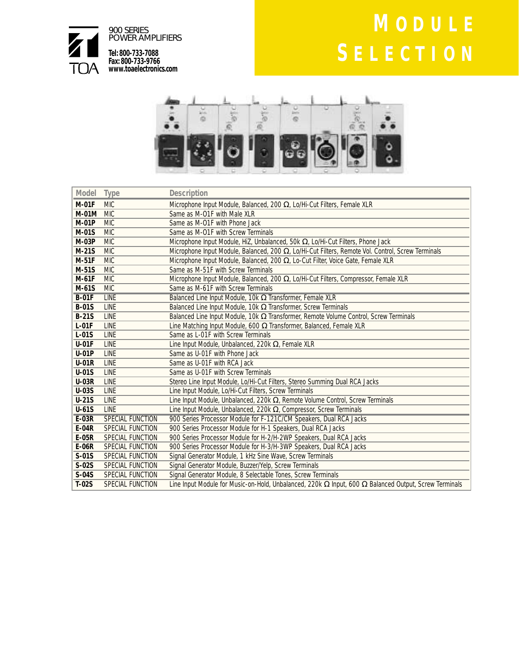

# **M ODULE S ELECTION**



| Model        | Type                    | <b>Description</b>                                                                                                  |  |
|--------------|-------------------------|---------------------------------------------------------------------------------------------------------------------|--|
| <b>M-01F</b> | <b>MIC</b>              | Microphone Input Module, Balanced, 200 Ω, Lo/Hi-Cut Filters, Female XLR                                             |  |
| <b>M-01M</b> | <b>MIC</b>              | Same as M-O1F with Male XLR                                                                                         |  |
| <b>M-01P</b> | <b>MIC</b>              | Same as M-01F with Phone Jack                                                                                       |  |
| M-01S        | <b>MIC</b>              | Same as M-01F with Screw Terminals                                                                                  |  |
| <b>M-03P</b> | <b>MIC</b>              | Microphone Input Module, HiZ, Unbalanced, 50k $\Omega$ , Lo/Hi-Cut Filters, Phone Jack                              |  |
| $M-21S$      | <b>MIC</b>              | Microphone Input Module, Balanced, 200 $\Omega$ , Lo/Hi-Cut Filters, Remote Vol. Control, Screw Terminals           |  |
| $M-51F$      | <b>MIC</b>              | Microphone Input Module, Balanced, 200 $\Omega$ , Lo-Cut Filter, Voice Gate, Female XLR                             |  |
| $M-51S$      | <b>MIC</b>              | Same as M-51F with Screw Terminals                                                                                  |  |
| $M-61F$      | <b>MIC</b>              | Microphone Input Module, Balanced, 200 Ω, Lo/Hi-Cut Filters, Compressor, Female XLR                                 |  |
| M-61S        | <b>MIC</b>              | Same as M-61F with Screw Terminals                                                                                  |  |
| $B-01F$      | <b>LINE</b>             | Balanced Line Input Module, 10k Q Transformer, Female XLR                                                           |  |
| <b>B-01S</b> | LINE                    | Balanced Line Input Module, 10k $\Omega$ Transformer, Screw Terminals                                               |  |
| $B-21S$      | <b>LINE</b>             | Balanced Line Input Module, 10k $\Omega$ Transformer, Remote Volume Control, Screw Terminals                        |  |
| $L-01F$      | <b>LINE</b>             | Line Matching Input Module, 600 $\Omega$ Transformer, Balanced, Female XLR                                          |  |
| $L-01S$      | <b>LINE</b>             | Same as L-01F with Screw Terminals                                                                                  |  |
| $U-01F$      | <b>LINE</b>             | Line Input Module, Unbalanced, 220k $\Omega$ , Female XLR                                                           |  |
| $U-01P$      | <b>LINE</b>             | Same as U-01F with Phone Jack                                                                                       |  |
| <b>U-01R</b> | <b>LINE</b>             | Same as U-01F with RCA Jack                                                                                         |  |
| $U-01S$      | <b>LINE</b>             | Same as U-01F with Screw Terminals                                                                                  |  |
| <b>U-03R</b> | <b>LINE</b>             | Stereo Line Input Module, Lo/Hi-Cut Filters, Stereo Summing Dual RCA Jacks                                          |  |
| <b>U-03S</b> | <b>LINE</b>             | Line Input Module, Lo/Hi-Cut Filters, Screw Terminals                                                               |  |
| $U-21S$      | <b>LINE</b>             | Line Input Module, Unbalanced, 220k $\Omega$ , Remote Volume Control, Screw Terminals                               |  |
| $U-61S$      | <b>LINF</b>             | Line Input Module, Unbalanced, 220k $\Omega$ , Compressor, Screw Terminals                                          |  |
| $E-03R$      | SPECIAL FUNCTION        | 900 Series Processor Module for F-121C/CM Speakers, Dual RCA Jacks                                                  |  |
| $E-04R$      | SPECIAL FUNCTION        | 900 Series Processor Module for H-1 Speakers, Dual RCA Jacks                                                        |  |
| <b>E-05R</b> | <b>SPECIAL FUNCTION</b> | 900 Series Processor Module for H-2/H-2WP Speakers, Dual RCA Jacks                                                  |  |
| E-06R        | <b>SPECIAL FUNCTION</b> | 900 Series Processor Module for H-3/H-3WP Speakers, Dual RCA Jacks                                                  |  |
| $S-01S$      | SPECIAL FUNCTION        | Signal Generator Module, 1 kHz Sine Wave, Screw Terminals                                                           |  |
| $S-02S$      | SPECIAL FUNCTION        | Signal Generator Module, Buzzer/Yelp, Screw Terminals                                                               |  |
| $S-04S$      | SPECIAL FUNCTION        | Signal Generator Module, 8 Selectable Tones, Screw Terminals                                                        |  |
| $T-02S$      | <b>SPECIAL FUNCTION</b> | Line Input Module for Music-on-Hold, Unbalanced, 220k $\Omega$ Input, 600 $\Omega$ Balanced Output, Screw Terminals |  |